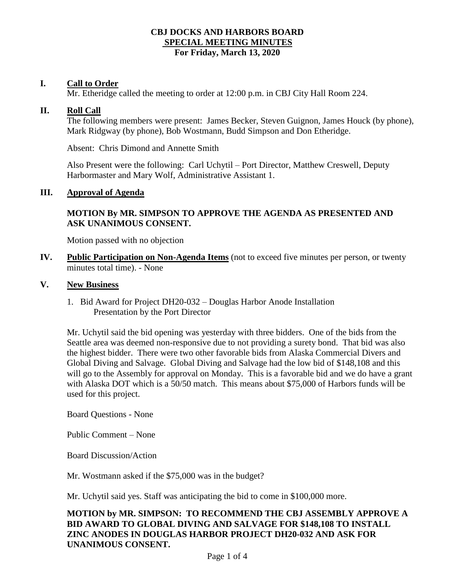### **CBJ DOCKS AND HARBORS BOARD SPECIAL MEETING MINUTES For Friday, March 13, 2020**

## **I. Call to Order**

Mr. Etheridge called the meeting to order at 12:00 p.m. in CBJ City Hall Room 224.

### **II. Roll Call**

The following members were present: James Becker, Steven Guignon, James Houck (by phone), Mark Ridgway (by phone), Bob Wostmann, Budd Simpson and Don Etheridge.

Absent: Chris Dimond and Annette Smith

Also Present were the following: Carl Uchytil – Port Director, Matthew Creswell, Deputy Harbormaster and Mary Wolf, Administrative Assistant 1.

### **III. Approval of Agenda**

### **MOTION By MR. SIMPSON TO APPROVE THE AGENDA AS PRESENTED AND ASK UNANIMOUS CONSENT.**

Motion passed with no objection

**IV. Public Participation on Non-Agenda Items** (not to exceed five minutes per person, or twenty minutes total time). - None

#### **V. New Business**

1. Bid Award for Project DH20-032 – Douglas Harbor Anode Installation Presentation by the Port Director

Mr. Uchytil said the bid opening was yesterday with three bidders. One of the bids from the Seattle area was deemed non-responsive due to not providing a surety bond. That bid was also the highest bidder. There were two other favorable bids from Alaska Commercial Divers and Global Diving and Salvage. Global Diving and Salvage had the low bid of \$148,108 and this will go to the Assembly for approval on Monday. This is a favorable bid and we do have a grant with Alaska DOT which is a 50/50 match. This means about \$75,000 of Harbors funds will be used for this project.

Board Questions - None

Public Comment – None

Board Discussion/Action

Mr. Wostmann asked if the \$75,000 was in the budget?

Mr. Uchytil said yes. Staff was anticipating the bid to come in \$100,000 more.

## **MOTION by MR. SIMPSON: TO RECOMMEND THE CBJ ASSEMBLY APPROVE A BID AWARD TO GLOBAL DIVING AND SALVAGE FOR \$148,108 TO INSTALL ZINC ANODES IN DOUGLAS HARBOR PROJECT DH20-032 AND ASK FOR UNANIMOUS CONSENT.**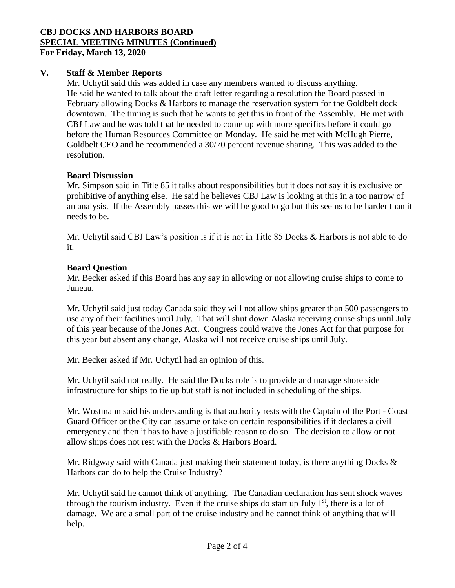### **CBJ DOCKS AND HARBORS BOARD SPECIAL MEETING MINUTES (Continued) For Friday, March 13, 2020**

# **V. Staff & Member Reports**

Mr. Uchytil said this was added in case any members wanted to discuss anything. He said he wanted to talk about the draft letter regarding a resolution the Board passed in February allowing Docks & Harbors to manage the reservation system for the Goldbelt dock downtown. The timing is such that he wants to get this in front of the Assembly. He met with CBJ Law and he was told that he needed to come up with more specifics before it could go before the Human Resources Committee on Monday. He said he met with McHugh Pierre, Goldbelt CEO and he recommended a 30/70 percent revenue sharing. This was added to the resolution.

### **Board Discussion**

Mr. Simpson said in Title 85 it talks about responsibilities but it does not say it is exclusive or prohibitive of anything else. He said he believes CBJ Law is looking at this in a too narrow of an analysis. If the Assembly passes this we will be good to go but this seems to be harder than it needs to be.

Mr. Uchytil said CBJ Law's position is if it is not in Title 85 Docks & Harbors is not able to do it.

## **Board Question**

Mr. Becker asked if this Board has any say in allowing or not allowing cruise ships to come to Juneau.

Mr. Uchytil said just today Canada said they will not allow ships greater than 500 passengers to use any of their facilities until July. That will shut down Alaska receiving cruise ships until July of this year because of the Jones Act. Congress could waive the Jones Act for that purpose for this year but absent any change, Alaska will not receive cruise ships until July.

Mr. Becker asked if Mr. Uchytil had an opinion of this.

Mr. Uchytil said not really. He said the Docks role is to provide and manage shore side infrastructure for ships to tie up but staff is not included in scheduling of the ships.

Mr. Wostmann said his understanding is that authority rests with the Captain of the Port - Coast Guard Officer or the City can assume or take on certain responsibilities if it declares a civil emergency and then it has to have a justifiable reason to do so. The decision to allow or not allow ships does not rest with the Docks & Harbors Board.

Mr. Ridgway said with Canada just making their statement today, is there anything Docks  $\&$ Harbors can do to help the Cruise Industry?

Mr. Uchytil said he cannot think of anything. The Canadian declaration has sent shock waves through the tourism industry. Even if the cruise ships do start up July  $1<sup>st</sup>$ , there is a lot of damage. We are a small part of the cruise industry and he cannot think of anything that will help.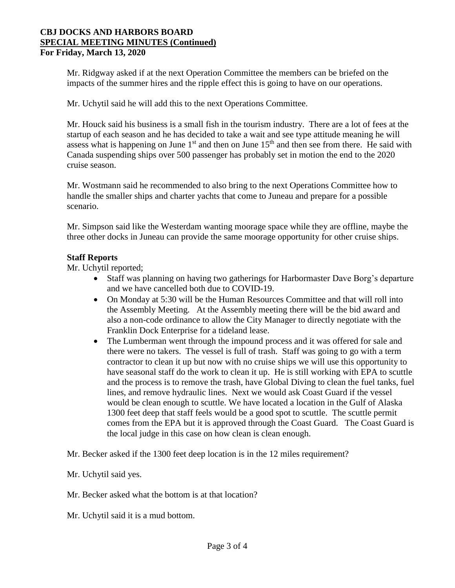### **CBJ DOCKS AND HARBORS BOARD SPECIAL MEETING MINUTES (Continued) For Friday, March 13, 2020**

Mr. Ridgway asked if at the next Operation Committee the members can be briefed on the impacts of the summer hires and the ripple effect this is going to have on our operations.

Mr. Uchytil said he will add this to the next Operations Committee.

Mr. Houck said his business is a small fish in the tourism industry. There are a lot of fees at the startup of each season and he has decided to take a wait and see type attitude meaning he will assess what is happening on June  $1<sup>st</sup>$  and then on June  $15<sup>th</sup>$  and then see from there. He said with Canada suspending ships over 500 passenger has probably set in motion the end to the 2020 cruise season.

Mr. Wostmann said he recommended to also bring to the next Operations Committee how to handle the smaller ships and charter yachts that come to Juneau and prepare for a possible scenario.

Mr. Simpson said like the Westerdam wanting moorage space while they are offline, maybe the three other docks in Juneau can provide the same moorage opportunity for other cruise ships.

## **Staff Reports**

Mr. Uchytil reported;

- Staff was planning on having two gatherings for Harbormaster Dave Borg's departure and we have cancelled both due to COVID-19.
- On Monday at 5:30 will be the Human Resources Committee and that will roll into the Assembly Meeting. At the Assembly meeting there will be the bid award and also a non-code ordinance to allow the City Manager to directly negotiate with the Franklin Dock Enterprise for a tideland lease.
- The Lumberman went through the impound process and it was offered for sale and there were no takers. The vessel is full of trash. Staff was going to go with a term contractor to clean it up but now with no cruise ships we will use this opportunity to have seasonal staff do the work to clean it up. He is still working with EPA to scuttle and the process is to remove the trash, have Global Diving to clean the fuel tanks, fuel lines, and remove hydraulic lines. Next we would ask Coast Guard if the vessel would be clean enough to scuttle. We have located a location in the Gulf of Alaska 1300 feet deep that staff feels would be a good spot to scuttle. The scuttle permit comes from the EPA but it is approved through the Coast Guard. The Coast Guard is the local judge in this case on how clean is clean enough.

Mr. Becker asked if the 1300 feet deep location is in the 12 miles requirement?

Mr. Uchytil said yes.

Mr. Becker asked what the bottom is at that location?

Mr. Uchytil said it is a mud bottom.